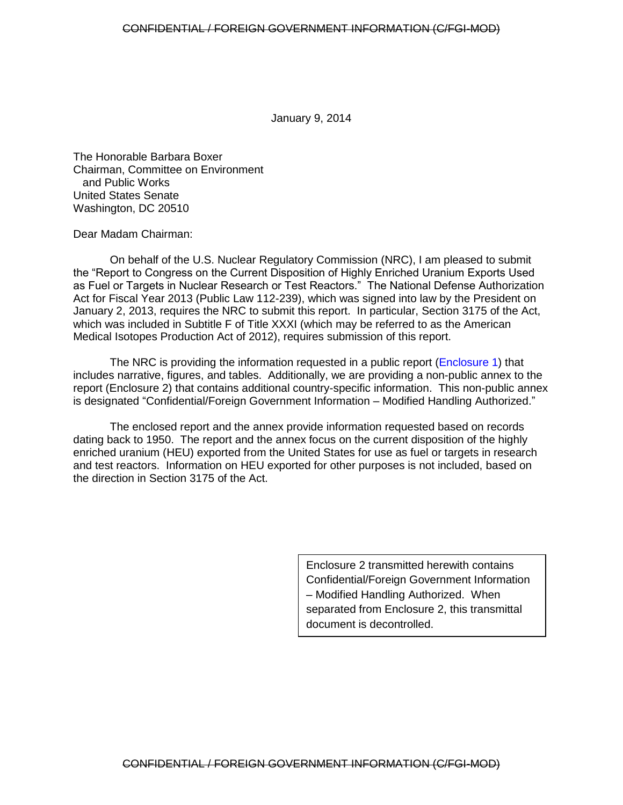January 9, 2014

The Honorable Barbara Boxer Chairman, Committee on Environment and Public Works United States Senate Washington, DC 20510

Dear Madam Chairman:

On behalf of the U.S. Nuclear Regulatory Commission (NRC), I am pleased to submit the "Report to Congress on the Current Disposition of Highly Enriched Uranium Exports Used as Fuel or Targets in Nuclear Research or Test Reactors." The National Defense Authorization Act for Fiscal Year 2013 (Public Law 112-239), which was signed into law by the President on January 2, 2013, requires the NRC to submit this report. In particular, Section 3175 of the Act, which was included in Subtitle F of Title XXXI (which may be referred to as the American Medical Isotopes Production Act of 2012), requires submission of this report.

The NRC is providing the information requested in a public report ([Enclosure 1\)](#page-4-0) that includes narrative, figures, and tables. Additionally, we are providing a non-public annex to the report (Enclosure 2) that contains additional country-specific information. This non-public annex is designated "Confidential/Foreign Government Information – Modified Handling Authorized."

The enclosed report and the annex provide information requested based on records dating back to 1950. The report and the annex focus on the current disposition of the highly enriched uranium (HEU) exported from the United States for use as fuel or targets in research and test reactors. Information on HEU exported for other purposes is not included, based on the direction in Section 3175 of the Act.

> Enclosure 2 transmitted herewith contains Confidential/Foreign Government Information – Modified Handling Authorized. When separated from Enclosure 2, this transmittal document is decontrolled.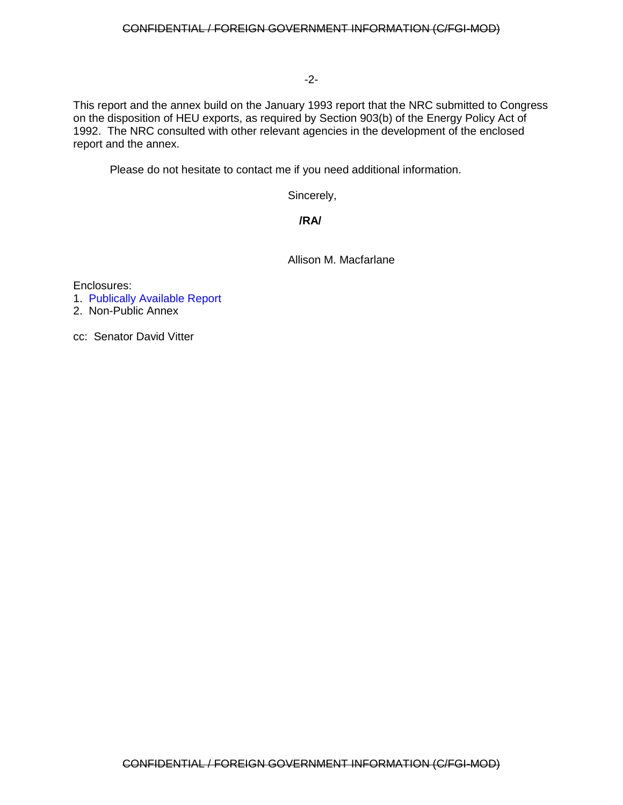#### -2-

This report and the annex build on the January 1993 report that the NRC submitted to Congress on the disposition of HEU exports, as required by Section 903(b) of the Energy Policy Act of 1992. The NRC consulted with other relevant agencies in the development of the enclosed report and the annex.

Please do not hesitate to contact me if you need additional information.

Sincerely,

## **/RA/**

Allison M. Macfarlane

Enclosures:

1. [Publically Available Report](#page-4-0)

2. Non-Public Annex

cc: Senator David Vitter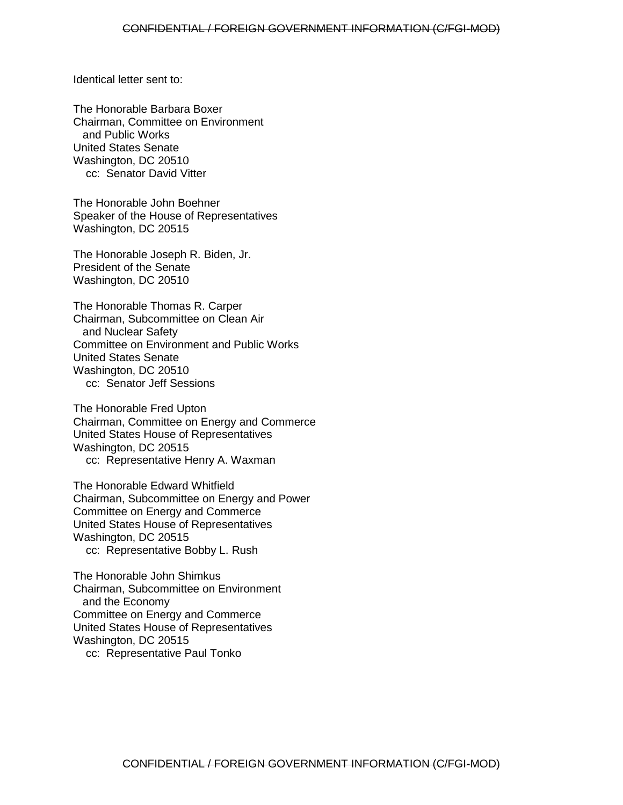Identical letter sent to:

The Honorable Barbara Boxer Chairman, Committee on Environment and Public Works United States Senate Washington, DC 20510 cc: Senator David Vitter

The Honorable John Boehner Speaker of the House of Representatives Washington, DC 20515

The Honorable Joseph R. Biden, Jr. President of the Senate Washington, DC 20510

The Honorable Thomas R. Carper Chairman, Subcommittee on Clean Air and Nuclear Safety Committee on Environment and Public Works United States Senate Washington, DC 20510 cc: Senator Jeff Sessions

The Honorable Fred Upton Chairman, Committee on Energy and Commerce United States House of Representatives Washington, DC 20515 cc: Representative Henry A. Waxman

The Honorable Edward Whitfield Chairman, Subcommittee on Energy and Power Committee on Energy and Commerce United States House of Representatives Washington, DC 20515 cc: Representative Bobby L. Rush

The Honorable John Shimkus Chairman, Subcommittee on Environment and the Economy Committee on Energy and Commerce United States House of Representatives Washington, DC 20515 cc: Representative Paul Tonko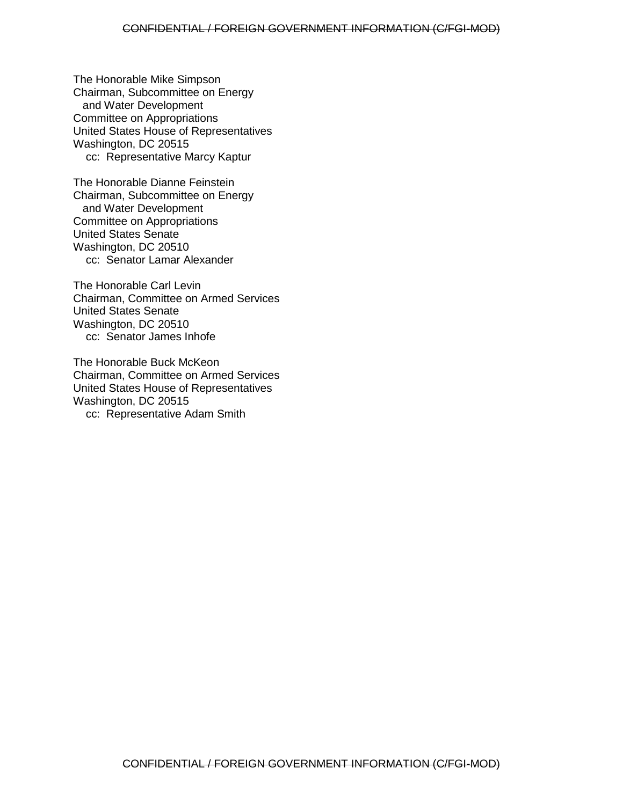The Honorable Mike Simpson Chairman, Subcommittee on Energy and Water Development Committee on Appropriations United States House of Representatives Washington, DC 20515 cc: Representative Marcy Kaptur

The Honorable Dianne Feinstein Chairman, Subcommittee on Energy and Water Development Committee on Appropriations United States Senate Washington, DC 20510 cc: Senator Lamar Alexander

The Honorable Carl Levin Chairman, Committee on Armed Services United States Senate Washington, DC 20510 cc: Senator James Inhofe

The Honorable Buck McKeon Chairman, Committee on Armed Services United States House of Representatives Washington, DC 20515 cc: Representative Adam Smith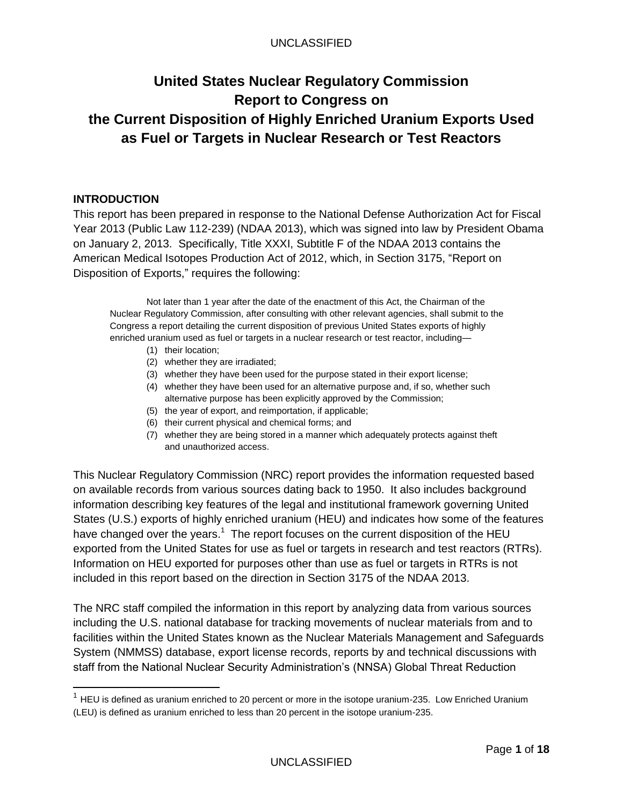## UNCLASSIFIED

# <span id="page-4-0"></span>**United States Nuclear Regulatory Commission Report to Congress on the Current Disposition of Highly Enriched Uranium Exports Used as Fuel or Targets in Nuclear Research or Test Reactors**

## **INTRODUCTION**

 $\overline{a}$ 

This report has been prepared in response to the National Defense Authorization Act for Fiscal Year 2013 (Public Law 112-239) (NDAA 2013), which was signed into law by President Obama on January 2, 2013. Specifically, Title XXXI, Subtitle F of the NDAA 2013 contains the American Medical Isotopes Production Act of 2012, which, in Section 3175, "Report on Disposition of Exports," requires the following:

Not later than 1 year after the date of the enactment of this Act, the Chairman of the Nuclear Regulatory Commission, after consulting with other relevant agencies, shall submit to the Congress a report detailing the current disposition of previous United States exports of highly enriched uranium used as fuel or targets in a nuclear research or test reactor, including—

- (1) their location;
- (2) whether they are irradiated;
- (3) whether they have been used for the purpose stated in their export license;
- (4) whether they have been used for an alternative purpose and, if so, whether such alternative purpose has been explicitly approved by the Commission;
- (5) the year of export, and reimportation, if applicable;
- (6) their current physical and chemical forms; and
- (7) whether they are being stored in a manner which adequately protects against theft and unauthorized access.

This Nuclear Regulatory Commission (NRC) report provides the information requested based on available records from various sources dating back to 1950. It also includes background information describing key features of the legal and institutional framework governing United States (U.S.) exports of highly enriched uranium (HEU) and indicates how some of the features have changed over the years.<sup>1</sup> The report focuses on the current disposition of the HEU exported from the United States for use as fuel or targets in research and test reactors (RTRs). Information on HEU exported for purposes other than use as fuel or targets in RTRs is not included in this report based on the direction in Section 3175 of the NDAA 2013.

The NRC staff compiled the information in this report by analyzing data from various sources including the U.S. national database for tracking movements of nuclear materials from and to facilities within the United States known as the Nuclear Materials Management and Safeguards System (NMMSS) database, export license records, reports by and technical discussions with staff from the National Nuclear Security Administration's (NNSA) Global Threat Reduction

 $1$  HEU is defined as uranium enriched to 20 percent or more in the isotope uranium-235. Low Enriched Uranium (LEU) is defined as uranium enriched to less than 20 percent in the isotope uranium-235.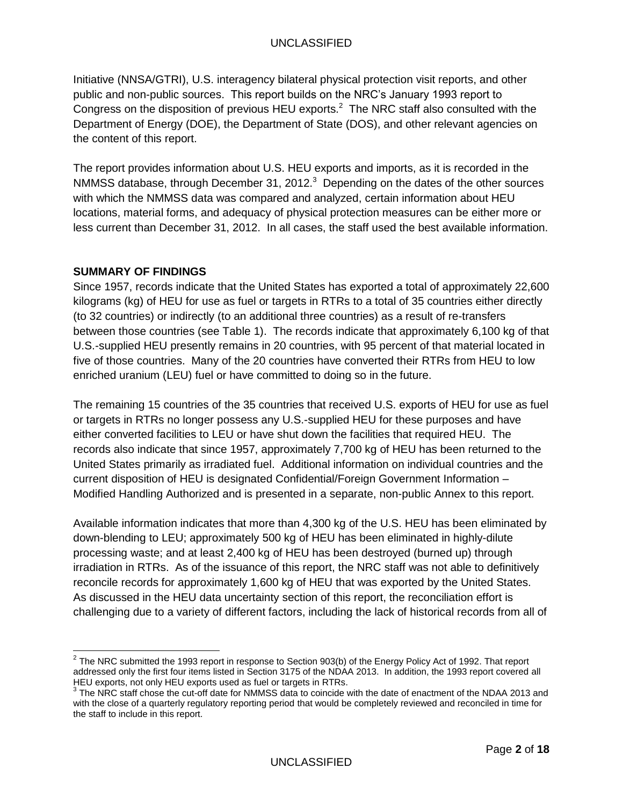Initiative (NNSA/GTRI), U.S. interagency bilateral physical protection visit reports, and other public and non-public sources. This report builds on the NRC's January 1993 report to Congress on the disposition of previous HEU exports.<sup>2</sup> The NRC staff also consulted with the Department of Energy (DOE), the Department of State (DOS), and other relevant agencies on the content of this report.

The report provides information about U.S. HEU exports and imports, as it is recorded in the NMMSS database, through December 31, 2012. $3$  Depending on the dates of the other sources with which the NMMSS data was compared and analyzed, certain information about HEU locations, material forms, and adequacy of physical protection measures can be either more or less current than December 31, 2012. In all cases, the staff used the best available information.

## **SUMMARY OF FINDINGS**

Since 1957, records indicate that the United States has exported a total of approximately 22,600 kilograms (kg) of HEU for use as fuel or targets in RTRs to a total of 35 countries either directly (to 32 countries) or indirectly (to an additional three countries) as a result of re-transfers between those countries (see Table 1). The records indicate that approximately 6,100 kg of that U.S.-supplied HEU presently remains in 20 countries, with 95 percent of that material located in five of those countries. Many of the 20 countries have converted their RTRs from HEU to low enriched uranium (LEU) fuel or have committed to doing so in the future.

The remaining 15 countries of the 35 countries that received U.S. exports of HEU for use as fuel or targets in RTRs no longer possess any U.S.-supplied HEU for these purposes and have either converted facilities to LEU or have shut down the facilities that required HEU. The records also indicate that since 1957, approximately 7,700 kg of HEU has been returned to the United States primarily as irradiated fuel. Additional information on individual countries and the current disposition of HEU is designated Confidential/Foreign Government Information – Modified Handling Authorized and is presented in a separate, non-public Annex to this report.

Available information indicates that more than 4,300 kg of the U.S. HEU has been eliminated by down-blending to LEU; approximately 500 kg of HEU has been eliminated in highly-dilute processing waste; and at least 2,400 kg of HEU has been destroyed (burned up) through irradiation in RTRs. As of the issuance of this report, the NRC staff was not able to definitively reconcile records for approximately 1,600 kg of HEU that was exported by the United States. As discussed in the HEU data uncertainty section of this report, the reconciliation effort is challenging due to a variety of different factors, including the lack of historical records from all of

THE NRC submitted the 1993 report in response to Section 903(b) of the Energy Policy Act of 1992. That report<br>The NRC submitted the 1993 report in response to Section 903(b) of the Energy Policy Act of 1992. That report addressed only the first four items listed in Section 3175 of the NDAA 2013. In addition, the 1993 report covered all HEU exports, not only HEU exports used as fuel or targets in RTRs.<br><sup>3</sup> The NRC staff chose the cut-off date for NMMSS data to coincide with the date of enactment of the NDAA 2013 and

with the close of a quarterly regulatory reporting period that would be completely reviewed and reconciled in time for the staff to include in this report.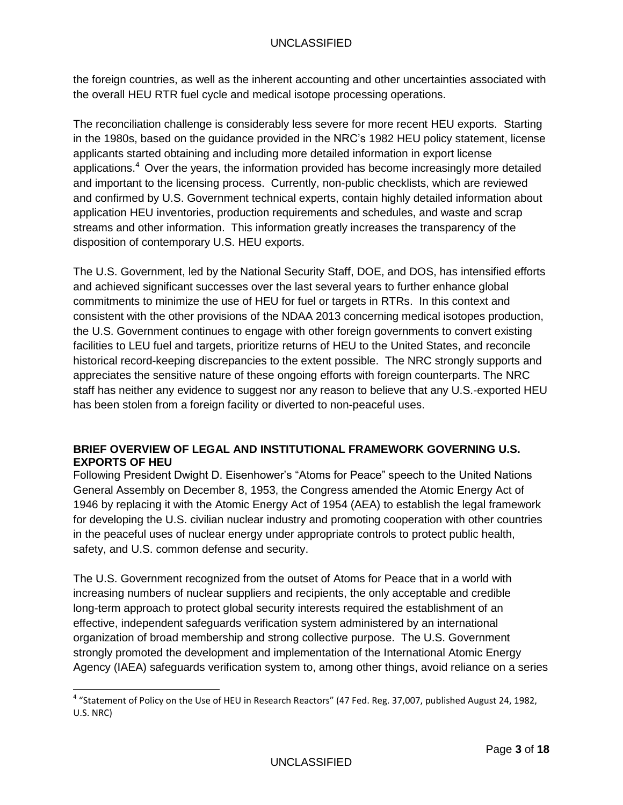the foreign countries, as well as the inherent accounting and other uncertainties associated with the overall HEU RTR fuel cycle and medical isotope processing operations.

The reconciliation challenge is considerably less severe for more recent HEU exports. Starting in the 1980s, based on the guidance provided in the NRC's 1982 HEU policy statement, license applicants started obtaining and including more detailed information in export license applications.<sup>4</sup> Over the years, the information provided has become increasingly more detailed and important to the licensing process. Currently, non-public checklists, which are reviewed and confirmed by U.S. Government technical experts, contain highly detailed information about application HEU inventories, production requirements and schedules, and waste and scrap streams and other information. This information greatly increases the transparency of the disposition of contemporary U.S. HEU exports.

The U.S. Government, led by the National Security Staff, DOE, and DOS, has intensified efforts and achieved significant successes over the last several years to further enhance global commitments to minimize the use of HEU for fuel or targets in RTRs. In this context and consistent with the other provisions of the NDAA 2013 concerning medical isotopes production, the U.S. Government continues to engage with other foreign governments to convert existing facilities to LEU fuel and targets, prioritize returns of HEU to the United States, and reconcile historical record-keeping discrepancies to the extent possible. The NRC strongly supports and appreciates the sensitive nature of these ongoing efforts with foreign counterparts. The NRC staff has neither any evidence to suggest nor any reason to believe that any U.S.-exported HEU has been stolen from a foreign facility or diverted to non-peaceful uses.

## **BRIEF OVERVIEW OF LEGAL AND INSTITUTIONAL FRAMEWORK GOVERNING U.S. EXPORTS OF HEU**

Following President Dwight D. Eisenhower's "Atoms for Peace" speech to the United Nations General Assembly on December 8, 1953, the Congress amended the Atomic Energy Act of 1946 by replacing it with the Atomic Energy Act of 1954 (AEA) to establish the legal framework for developing the U.S. civilian nuclear industry and promoting cooperation with other countries in the peaceful uses of nuclear energy under appropriate controls to protect public health, safety, and U.S. common defense and security.

The U.S. Government recognized from the outset of Atoms for Peace that in a world with increasing numbers of nuclear suppliers and recipients, the only acceptable and credible long-term approach to protect global security interests required the establishment of an effective, independent safeguards verification system administered by an international organization of broad membership and strong collective purpose. The U.S. Government strongly promoted the development and implementation of the International Atomic Energy Agency (IAEA) safeguards verification system to, among other things, avoid reliance on a series

<sup>&</sup>lt;sup>4</sup> "Statement of Policy on the Use of HEU in Research Reactors" (47 Fed. Reg. 37,007, published August 24, 1982, U.S. NRC)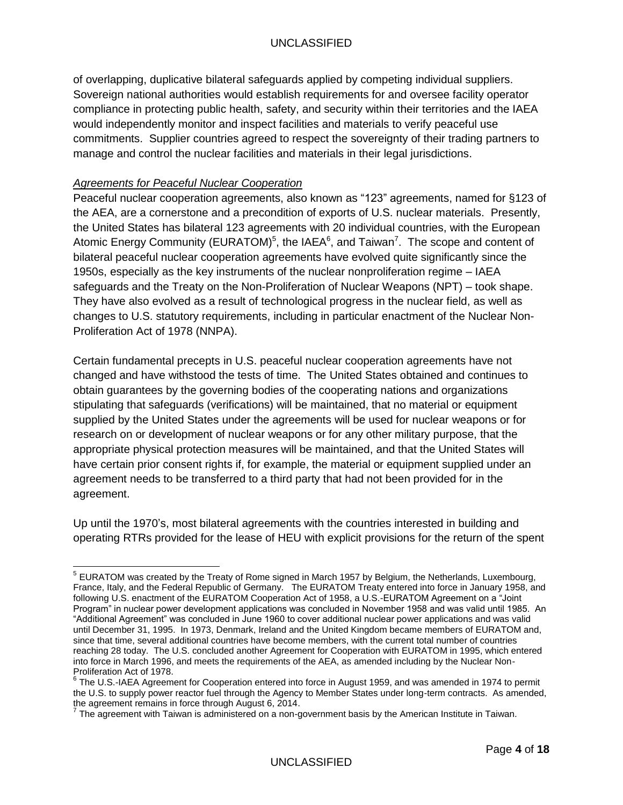of overlapping, duplicative bilateral safeguards applied by competing individual suppliers. Sovereign national authorities would establish requirements for and oversee facility operator compliance in protecting public health, safety, and security within their territories and the IAEA would independently monitor and inspect facilities and materials to verify peaceful use commitments. Supplier countries agreed to respect the sovereignty of their trading partners to manage and control the nuclear facilities and materials in their legal jurisdictions.

## *Agreements for Peaceful Nuclear Cooperation*

Peaceful nuclear cooperation agreements, also known as "123" agreements, named for §123 of the AEA, are a cornerstone and a precondition of exports of U.S. nuclear materials. Presently, the United States has bilateral 123 agreements with 20 individual countries, with the European Atomic Energy Community (EURATOM)<sup>5</sup>, the IAEA<sup>6</sup>, and Taiwan<sup>7</sup>. The scope and content of bilateral peaceful nuclear cooperation agreements have evolved quite significantly since the 1950s, especially as the key instruments of the nuclear nonproliferation regime – IAEA safeguards and the Treaty on the Non-Proliferation of Nuclear Weapons (NPT) – took shape. They have also evolved as a result of technological progress in the nuclear field, as well as changes to U.S. statutory requirements, including in particular enactment of the Nuclear Non-Proliferation Act of 1978 (NNPA).

Certain fundamental precepts in U.S. peaceful nuclear cooperation agreements have not changed and have withstood the tests of time. The United States obtained and continues to obtain guarantees by the governing bodies of the cooperating nations and organizations stipulating that safeguards (verifications) will be maintained, that no material or equipment supplied by the United States under the agreements will be used for nuclear weapons or for research on or development of nuclear weapons or for any other military purpose, that the appropriate physical protection measures will be maintained, and that the United States will have certain prior consent rights if, for example, the material or equipment supplied under an agreement needs to be transferred to a third party that had not been provided for in the agreement.

Up until the 1970's, most bilateral agreements with the countries interested in building and operating RTRs provided for the lease of HEU with explicit provisions for the return of the spent

 5 EURATOM was created by the Treaty of Rome signed in March 1957 by Belgium, the Netherlands, Luxembourg, France, Italy, and the Federal Republic of Germany. The EURATOM Treaty entered into force in January 1958, and following U.S. enactment of the EURATOM Cooperation Act of 1958, a U.S.-EURATOM Agreement on a "Joint Program" in nuclear power development applications was concluded in November 1958 and was valid until 1985. An "Additional Agreement" was concluded in June 1960 to cover additional nuclear power applications and was valid until December 31, 1995. In 1973, Denmark, Ireland and the United Kingdom became members of EURATOM and, since that time, several additional countries have become members, with the current total number of countries reaching 28 today. The U.S. concluded another Agreement for Cooperation with EURATOM in 1995, which entered into force in March 1996, and meets the requirements of the AEA, as amended including by the Nuclear Non-Proliferation Act of 1978.

 $6$  The U.S.-IAEA Agreement for Cooperation entered into force in August 1959, and was amended in 1974 to permit the U.S. to supply power reactor fuel through the Agency to Member States under long-term contracts. As amended,

the agreement remains in force through August 6, 2014.<br><sup>7</sup> The agreement with Taiwan is administered on a non-government basis by the American Institute in Taiwan.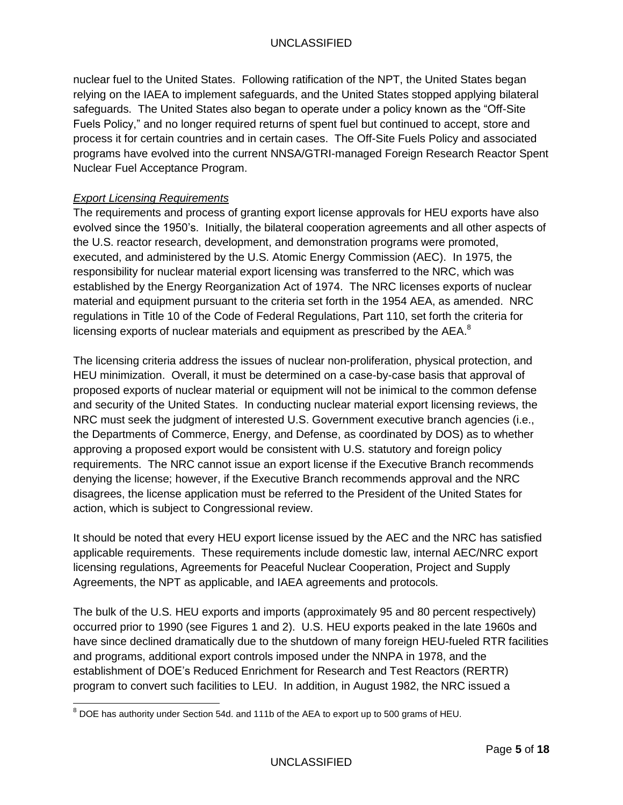nuclear fuel to the United States. Following ratification of the NPT, the United States began relying on the IAEA to implement safeguards, and the United States stopped applying bilateral safeguards. The United States also began to operate under a policy known as the "Off-Site Fuels Policy," and no longer required returns of spent fuel but continued to accept, store and process it for certain countries and in certain cases. The Off-Site Fuels Policy and associated programs have evolved into the current NNSA/GTRI-managed Foreign Research Reactor Spent Nuclear Fuel Acceptance Program.

## *Export Licensing Requirements*

The requirements and process of granting export license approvals for HEU exports have also evolved since the 1950's. Initially, the bilateral cooperation agreements and all other aspects of the U.S. reactor research, development, and demonstration programs were promoted, executed, and administered by the U.S. Atomic Energy Commission (AEC). In 1975, the responsibility for nuclear material export licensing was transferred to the NRC, which was established by the Energy Reorganization Act of 1974. The NRC licenses exports of nuclear material and equipment pursuant to the criteria set forth in the 1954 AEA, as amended. NRC regulations in Title 10 of the Code of Federal Regulations, Part 110, set forth the criteria for licensing exports of nuclear materials and equipment as prescribed by the AEA. $^8$ 

The licensing criteria address the issues of nuclear non-proliferation, physical protection, and HEU minimization. Overall, it must be determined on a case-by-case basis that approval of proposed exports of nuclear material or equipment will not be inimical to the common defense and security of the United States. In conducting nuclear material export licensing reviews, the NRC must seek the judgment of interested U.S. Government executive branch agencies (i.e., the Departments of Commerce, Energy, and Defense, as coordinated by DOS) as to whether approving a proposed export would be consistent with U.S. statutory and foreign policy requirements. The NRC cannot issue an export license if the Executive Branch recommends denying the license; however, if the Executive Branch recommends approval and the NRC disagrees, the license application must be referred to the President of the United States for action, which is subject to Congressional review.

It should be noted that every HEU export license issued by the AEC and the NRC has satisfied applicable requirements. These requirements include domestic law, internal AEC/NRC export licensing regulations, Agreements for Peaceful Nuclear Cooperation, Project and Supply Agreements, the NPT as applicable, and IAEA agreements and protocols.

The bulk of the U.S. HEU exports and imports (approximately 95 and 80 percent respectively) occurred prior to 1990 (see Figures 1 and 2). U.S. HEU exports peaked in the late 1960s and have since declined dramatically due to the shutdown of many foreign HEU-fueled RTR facilities and programs, additional export controls imposed under the NNPA in 1978, and the establishment of DOE's Reduced Enrichment for Research and Test Reactors (RERTR) program to convert such facilities to LEU. In addition, in August 1982, the NRC issued a

  $^8$  DOE has authority under Section 54d. and 111b of the AEA to export up to 500 grams of HEU.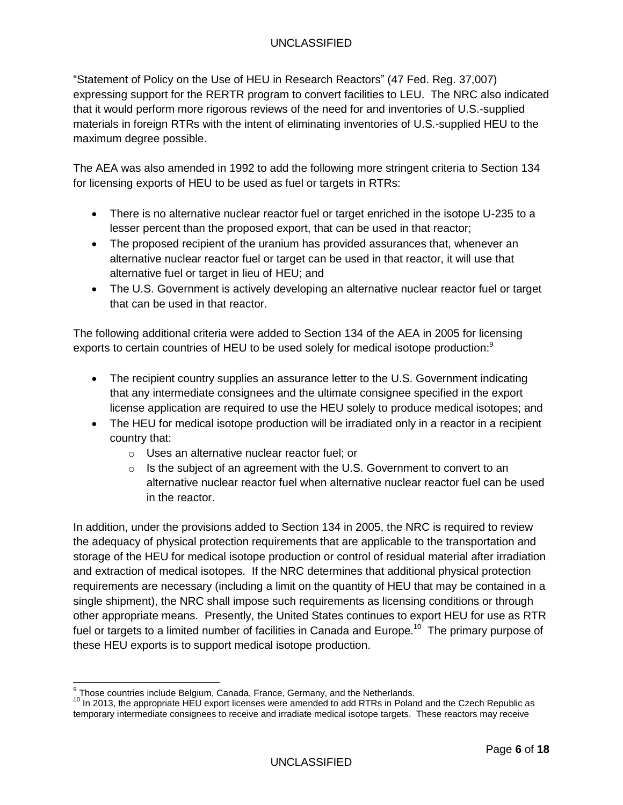"Statement of Policy on the Use of HEU in Research Reactors" (47 Fed. Reg. 37,007) expressing support for the RERTR program to convert facilities to LEU. The NRC also indicated that it would perform more rigorous reviews of the need for and inventories of U.S.-supplied materials in foreign RTRs with the intent of eliminating inventories of U.S.-supplied HEU to the maximum degree possible.

The AEA was also amended in 1992 to add the following more stringent criteria to Section 134 for licensing exports of HEU to be used as fuel or targets in RTRs:

- There is no alternative nuclear reactor fuel or target enriched in the isotope U-235 to a lesser percent than the proposed export, that can be used in that reactor;
- The proposed recipient of the uranium has provided assurances that, whenever an alternative nuclear reactor fuel or target can be used in that reactor, it will use that alternative fuel or target in lieu of HEU; and
- The U.S. Government is actively developing an alternative nuclear reactor fuel or target that can be used in that reactor.

The following additional criteria were added to Section 134 of the AEA in 2005 for licensing exports to certain countries of HEU to be used solely for medical isotope production:<sup>9</sup>

- The recipient country supplies an assurance letter to the U.S. Government indicating that any intermediate consignees and the ultimate consignee specified in the export license application are required to use the HEU solely to produce medical isotopes; and
- The HEU for medical isotope production will be irradiated only in a reactor in a recipient country that:
	- o Uses an alternative nuclear reactor fuel; or
	- $\circ$  Is the subject of an agreement with the U.S. Government to convert to an alternative nuclear reactor fuel when alternative nuclear reactor fuel can be used in the reactor.

In addition, under the provisions added to Section 134 in 2005, the NRC is required to review the adequacy of physical protection requirements that are applicable to the transportation and storage of the HEU for medical isotope production or control of residual material after irradiation and extraction of medical isotopes. If the NRC determines that additional physical protection requirements are necessary (including a limit on the quantity of HEU that may be contained in a single shipment), the NRC shall impose such requirements as licensing conditions or through other appropriate means. Presently, the United States continues to export HEU for use as RTR fuel or targets to a limited number of facilities in Canada and Europe.<sup>10</sup> The primary purpose of these HEU exports is to support medical isotope production.

 9 Those countries include Belgium, Canada, France, Germany, and the Netherlands.

 $10$  In 2013, the appropriate HEU export licenses were amended to add RTRs in Poland and the Czech Republic as temporary intermediate consignees to receive and irradiate medical isotope targets. These reactors may receive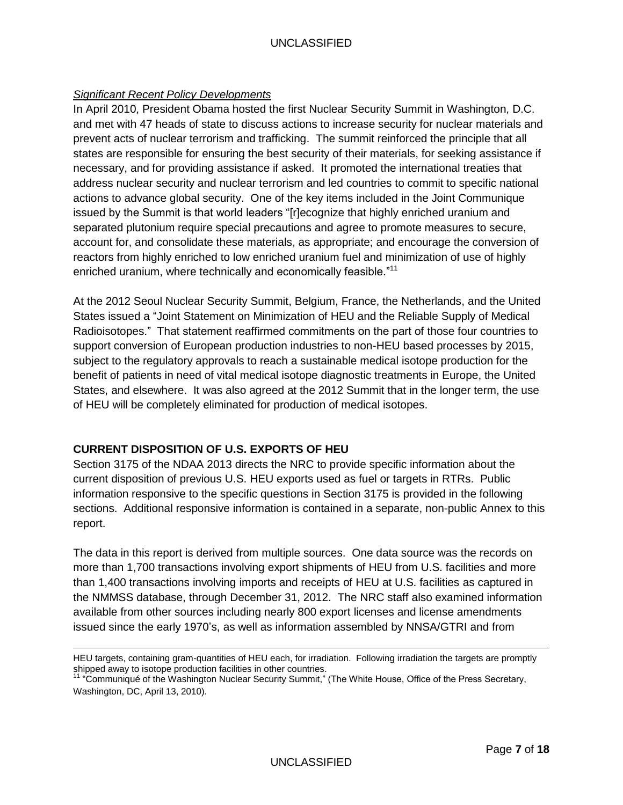## UNCLASSIFIED

#### *Significant Recent Policy Developments*

In April 2010, President Obama hosted the first Nuclear Security Summit in Washington, D.C. and met with 47 heads of state to discuss actions to increase security for nuclear materials and prevent acts of nuclear terrorism and trafficking. The summit reinforced the principle that all states are responsible for ensuring the best security of their materials, for seeking assistance if necessary, and for providing assistance if asked. It promoted the international treaties that address nuclear security and nuclear terrorism and led countries to commit to specific national actions to advance global security. One of the key items included in the Joint Communique issued by the Summit is that world leaders "[r]ecognize that highly enriched uranium and separated plutonium require special precautions and agree to promote measures to secure, account for, and consolidate these materials, as appropriate; and encourage the conversion of reactors from highly enriched to low enriched uranium fuel and minimization of use of highly enriched uranium, where technically and economically feasible."<sup>11</sup>

At the 2012 Seoul Nuclear Security Summit, Belgium, France, the Netherlands, and the United States issued a "Joint Statement on Minimization of HEU and the Reliable Supply of Medical Radioisotopes." That statement reaffirmed commitments on the part of those four countries to support conversion of European production industries to non-HEU based processes by 2015, subject to the regulatory approvals to reach a sustainable medical isotope production for the benefit of patients in need of vital medical isotope diagnostic treatments in Europe, the United States, and elsewhere. It was also agreed at the 2012 Summit that in the longer term, the use of HEU will be completely eliminated for production of medical isotopes.

#### **CURRENT DISPOSITION OF U.S. EXPORTS OF HEU**

 $\overline{a}$ 

Section 3175 of the NDAA 2013 directs the NRC to provide specific information about the current disposition of previous U.S. HEU exports used as fuel or targets in RTRs. Public information responsive to the specific questions in Section 3175 is provided in the following sections. Additional responsive information is contained in a separate, non-public Annex to this report.

The data in this report is derived from multiple sources. One data source was the records on more than 1,700 transactions involving export shipments of HEU from U.S. facilities and more than 1,400 transactions involving imports and receipts of HEU at U.S. facilities as captured in the NMMSS database, through December 31, 2012. The NRC staff also examined information available from other sources including nearly 800 export licenses and license amendments issued since the early 1970's, as well as information assembled by NNSA/GTRI and from

HEU targets, containing gram-quantities of HEU each, for irradiation. Following irradiation the targets are promptly shipped away to isotope production facilities in other countries.

<sup>&</sup>lt;sup>11</sup> "Communiqué of the Washington Nuclear Security Summit," (The White House, Office of the Press Secretary, Washington, DC, April 13, 2010).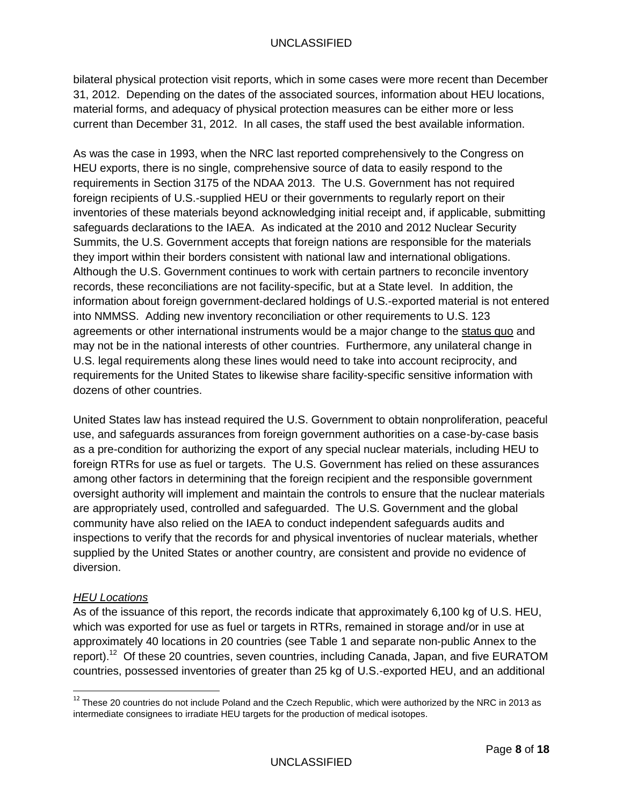bilateral physical protection visit reports, which in some cases were more recent than December 31, 2012. Depending on the dates of the associated sources, information about HEU locations, material forms, and adequacy of physical protection measures can be either more or less current than December 31, 2012. In all cases, the staff used the best available information.

As was the case in 1993, when the NRC last reported comprehensively to the Congress on HEU exports, there is no single, comprehensive source of data to easily respond to the requirements in Section 3175 of the NDAA 2013. The U.S. Government has not required foreign recipients of U.S.-supplied HEU or their governments to regularly report on their inventories of these materials beyond acknowledging initial receipt and, if applicable, submitting safeguards declarations to the IAEA. As indicated at the 2010 and 2012 Nuclear Security Summits, the U.S. Government accepts that foreign nations are responsible for the materials they import within their borders consistent with national law and international obligations. Although the U.S. Government continues to work with certain partners to reconcile inventory records, these reconciliations are not facility-specific, but at a State level. In addition, the information about foreign government-declared holdings of U.S.-exported material is not entered into NMMSS. Adding new inventory reconciliation or other requirements to U.S. 123 agreements or other international instruments would be a major change to the status quo and may not be in the national interests of other countries. Furthermore, any unilateral change in U.S. legal requirements along these lines would need to take into account reciprocity, and requirements for the United States to likewise share facility-specific sensitive information with dozens of other countries.

United States law has instead required the U.S. Government to obtain nonproliferation, peaceful use, and safeguards assurances from foreign government authorities on a case-by-case basis as a pre-condition for authorizing the export of any special nuclear materials, including HEU to foreign RTRs for use as fuel or targets. The U.S. Government has relied on these assurances among other factors in determining that the foreign recipient and the responsible government oversight authority will implement and maintain the controls to ensure that the nuclear materials are appropriately used, controlled and safeguarded. The U.S. Government and the global community have also relied on the IAEA to conduct independent safeguards audits and inspections to verify that the records for and physical inventories of nuclear materials, whether supplied by the United States or another country, are consistent and provide no evidence of diversion.

# *HEU Locations*

 $\overline{a}$ 

As of the issuance of this report, the records indicate that approximately 6,100 kg of U.S. HEU, which was exported for use as fuel or targets in RTRs, remained in storage and/or in use at approximately 40 locations in 20 countries (see Table 1 and separate non-public Annex to the report).<sup>12</sup> Of these 20 countries, seven countries, including Canada, Japan, and five EURATOM countries, possessed inventories of greater than 25 kg of U.S.-exported HEU, and an additional

 $^{12}$  These 20 countries do not include Poland and the Czech Republic, which were authorized by the NRC in 2013 as intermediate consignees to irradiate HEU targets for the production of medical isotopes.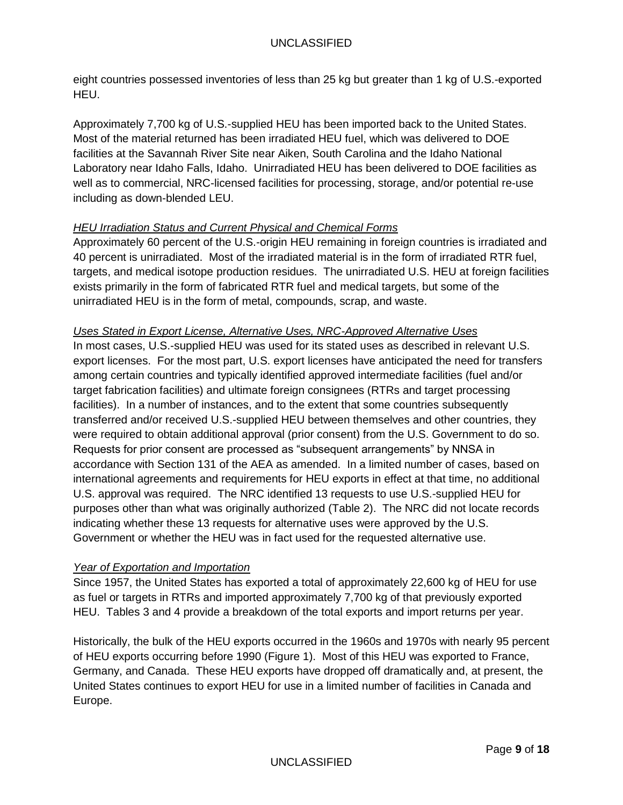eight countries possessed inventories of less than 25 kg but greater than 1 kg of U.S.-exported HEU.

Approximately 7,700 kg of U.S.-supplied HEU has been imported back to the United States. Most of the material returned has been irradiated HEU fuel, which was delivered to DOE facilities at the Savannah River Site near Aiken, South Carolina and the Idaho National Laboratory near Idaho Falls, Idaho. Unirradiated HEU has been delivered to DOE facilities as well as to commercial, NRC-licensed facilities for processing, storage, and/or potential re-use including as down-blended LEU.

# *HEU Irradiation Status and Current Physical and Chemical Forms*

Approximately 60 percent of the U.S.-origin HEU remaining in foreign countries is irradiated and 40 percent is unirradiated. Most of the irradiated material is in the form of irradiated RTR fuel, targets, and medical isotope production residues. The unirradiated U.S. HEU at foreign facilities exists primarily in the form of fabricated RTR fuel and medical targets, but some of the unirradiated HEU is in the form of metal, compounds, scrap, and waste.

# *Uses Stated in Export License, Alternative Uses, NRC-Approved Alternative Uses*

In most cases, U.S.-supplied HEU was used for its stated uses as described in relevant U.S. export licenses. For the most part, U.S. export licenses have anticipated the need for transfers among certain countries and typically identified approved intermediate facilities (fuel and/or target fabrication facilities) and ultimate foreign consignees (RTRs and target processing facilities). In a number of instances, and to the extent that some countries subsequently transferred and/or received U.S.-supplied HEU between themselves and other countries, they were required to obtain additional approval (prior consent) from the U.S. Government to do so. Requests for prior consent are processed as "subsequent arrangements" by NNSA in accordance with Section 131 of the AEA as amended. In a limited number of cases, based on international agreements and requirements for HEU exports in effect at that time, no additional U.S. approval was required. The NRC identified 13 requests to use U.S.-supplied HEU for purposes other than what was originally authorized (Table 2). The NRC did not locate records indicating whether these 13 requests for alternative uses were approved by the U.S. Government or whether the HEU was in fact used for the requested alternative use.

# *Year of Exportation and Importation*

Since 1957, the United States has exported a total of approximately 22,600 kg of HEU for use as fuel or targets in RTRs and imported approximately 7,700 kg of that previously exported HEU. Tables 3 and 4 provide a breakdown of the total exports and import returns per year.

Historically, the bulk of the HEU exports occurred in the 1960s and 1970s with nearly 95 percent of HEU exports occurring before 1990 (Figure 1). Most of this HEU was exported to France, Germany, and Canada. These HEU exports have dropped off dramatically and, at present, the United States continues to export HEU for use in a limited number of facilities in Canada and Europe.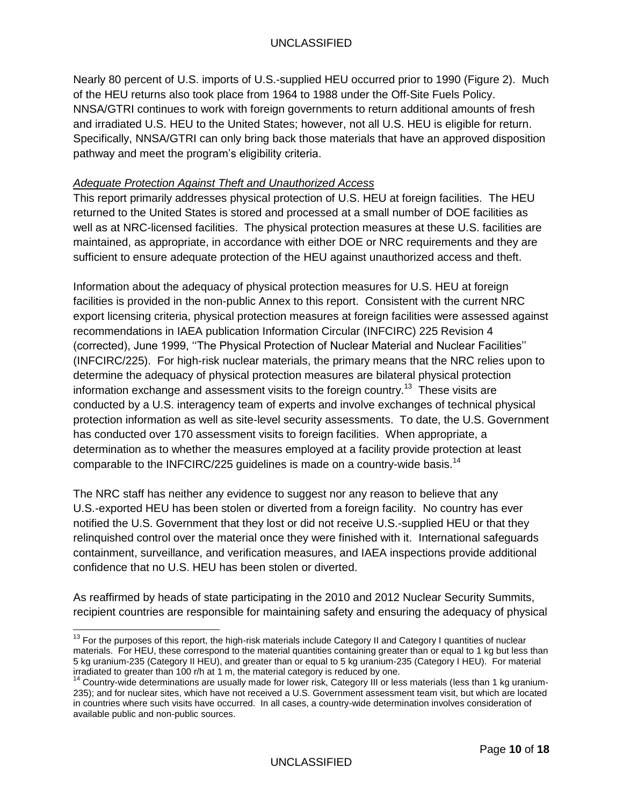Nearly 80 percent of U.S. imports of U.S.-supplied HEU occurred prior to 1990 (Figure 2). Much of the HEU returns also took place from 1964 to 1988 under the Off-Site Fuels Policy. NNSA/GTRI continues to work with foreign governments to return additional amounts of fresh and irradiated U.S. HEU to the United States; however, not all U.S. HEU is eligible for return. Specifically, NNSA/GTRI can only bring back those materials that have an approved disposition pathway and meet the program's eligibility criteria.

#### *Adequate Protection Against Theft and Unauthorized Access*

This report primarily addresses physical protection of U.S. HEU at foreign facilities. The HEU returned to the United States is stored and processed at a small number of DOE facilities as well as at NRC-licensed facilities. The physical protection measures at these U.S. facilities are maintained, as appropriate, in accordance with either DOE or NRC requirements and they are sufficient to ensure adequate protection of the HEU against unauthorized access and theft.

Information about the adequacy of physical protection measures for U.S. HEU at foreign facilities is provided in the non-public Annex to this report. Consistent with the current NRC export licensing criteria, physical protection measures at foreign facilities were assessed against recommendations in IAEA publication Information Circular (INFCIRC) 225 Revision 4 (corrected), June 1999, ''The Physical Protection of Nuclear Material and Nuclear Facilities'' (INFCIRC/225). For high-risk nuclear materials, the primary means that the NRC relies upon to determine the adequacy of physical protection measures are bilateral physical protection information exchange and assessment visits to the foreign country.<sup>13</sup> These visits are conducted by a U.S. interagency team of experts and involve exchanges of technical physical protection information as well as site-level security assessments. To date, the U.S. Government has conducted over 170 assessment visits to foreign facilities. When appropriate, a determination as to whether the measures employed at a facility provide protection at least comparable to the INFCIRC/225 guidelines is made on a country-wide basis.<sup>14</sup>

The NRC staff has neither any evidence to suggest nor any reason to believe that any U.S.-exported HEU has been stolen or diverted from a foreign facility. No country has ever notified the U.S. Government that they lost or did not receive U.S.-supplied HEU or that they relinquished control over the material once they were finished with it. International safeguards containment, surveillance, and verification measures, and IAEA inspections provide additional confidence that no U.S. HEU has been stolen or diverted.

As reaffirmed by heads of state participating in the 2010 and 2012 Nuclear Security Summits, recipient countries are responsible for maintaining safety and ensuring the adequacy of physical

  $13$  For the purposes of this report, the high-risk materials include Category II and Category I quantities of nuclear materials. For HEU, these correspond to the material quantities containing greater than or equal to 1 kg but less than 5 kg uranium-235 (Category II HEU), and greater than or equal to 5 kg uranium-235 (Category I HEU). For material irradiated to greater than 100 r/h at 1 m, the material category is reduced by one.

<sup>&</sup>lt;sup>14</sup> Country-wide determinations are usually made for lower risk, Category III or less materials (less than 1 kg uranium-235); and for nuclear sites, which have not received a U.S. Government assessment team visit, but which are located in countries where such visits have occurred. In all cases, a country-wide determination involves consideration of available public and non-public sources.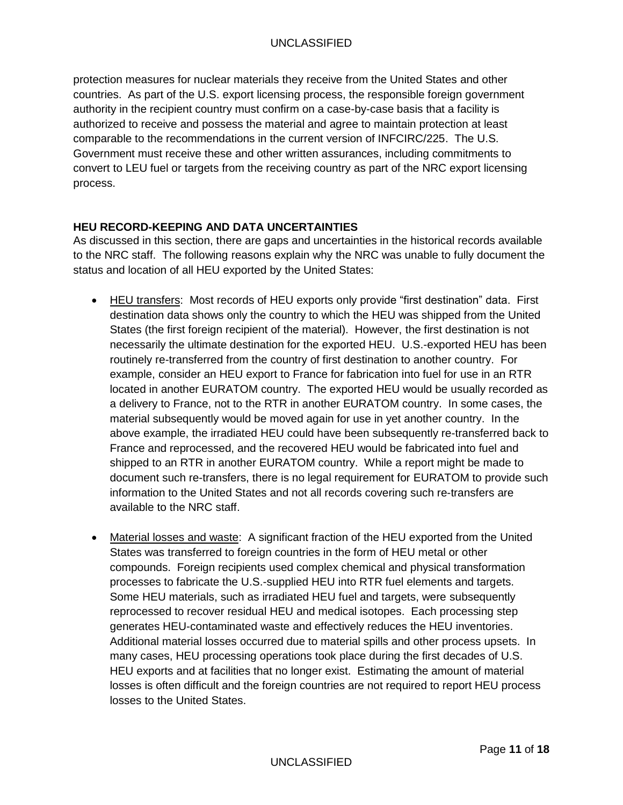protection measures for nuclear materials they receive from the United States and other countries. As part of the U.S. export licensing process, the responsible foreign government authority in the recipient country must confirm on a case-by-case basis that a facility is authorized to receive and possess the material and agree to maintain protection at least comparable to the recommendations in the current version of INFCIRC/225. The U.S. Government must receive these and other written assurances, including commitments to convert to LEU fuel or targets from the receiving country as part of the NRC export licensing process.

# **HEU RECORD-KEEPING AND DATA UNCERTAINTIES**

As discussed in this section, there are gaps and uncertainties in the historical records available to the NRC staff. The following reasons explain why the NRC was unable to fully document the status and location of all HEU exported by the United States:

- HEU transfers: Most records of HEU exports only provide "first destination" data. First destination data shows only the country to which the HEU was shipped from the United States (the first foreign recipient of the material). However, the first destination is not necessarily the ultimate destination for the exported HEU. U.S.-exported HEU has been routinely re-transferred from the country of first destination to another country. For example, consider an HEU export to France for fabrication into fuel for use in an RTR located in another EURATOM country. The exported HEU would be usually recorded as a delivery to France, not to the RTR in another EURATOM country. In some cases, the material subsequently would be moved again for use in yet another country. In the above example, the irradiated HEU could have been subsequently re-transferred back to France and reprocessed, and the recovered HEU would be fabricated into fuel and shipped to an RTR in another EURATOM country. While a report might be made to document such re-transfers, there is no legal requirement for EURATOM to provide such information to the United States and not all records covering such re-transfers are available to the NRC staff.
- Material losses and waste: A significant fraction of the HEU exported from the United States was transferred to foreign countries in the form of HEU metal or other compounds. Foreign recipients used complex chemical and physical transformation processes to fabricate the U.S.-supplied HEU into RTR fuel elements and targets. Some HEU materials, such as irradiated HEU fuel and targets, were subsequently reprocessed to recover residual HEU and medical isotopes. Each processing step generates HEU-contaminated waste and effectively reduces the HEU inventories. Additional material losses occurred due to material spills and other process upsets. In many cases, HEU processing operations took place during the first decades of U.S. HEU exports and at facilities that no longer exist. Estimating the amount of material losses is often difficult and the foreign countries are not required to report HEU process losses to the United States.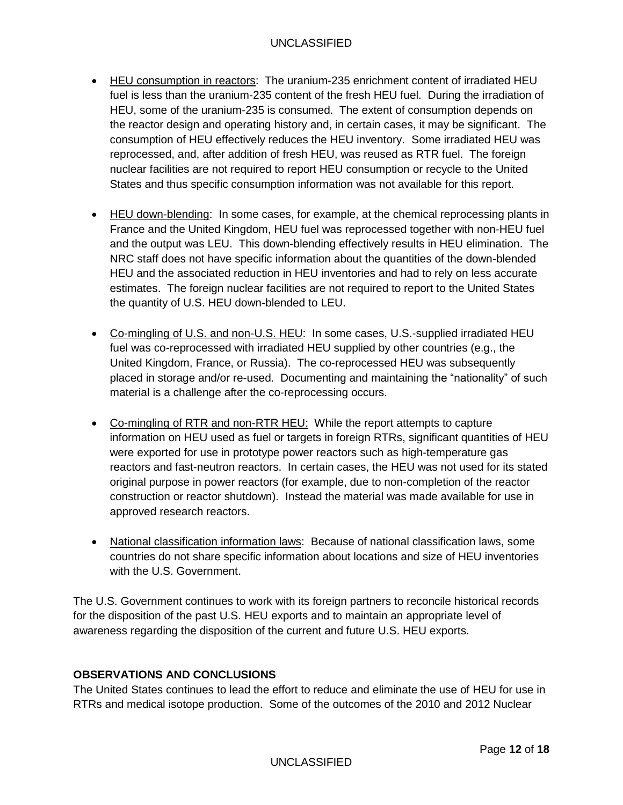# UNCLASSIFIED

- HEU consumption in reactors: The uranium-235 enrichment content of irradiated HEU fuel is less than the uranium-235 content of the fresh HEU fuel. During the irradiation of HEU, some of the uranium-235 is consumed. The extent of consumption depends on the reactor design and operating history and, in certain cases, it may be significant. The consumption of HEU effectively reduces the HEU inventory. Some irradiated HEU was reprocessed, and, after addition of fresh HEU, was reused as RTR fuel. The foreign nuclear facilities are not required to report HEU consumption or recycle to the United States and thus specific consumption information was not available for this report.
- HEU down-blending: In some cases, for example, at the chemical reprocessing plants in France and the United Kingdom, HEU fuel was reprocessed together with non-HEU fuel and the output was LEU. This down-blending effectively results in HEU elimination. The NRC staff does not have specific information about the quantities of the down-blended HEU and the associated reduction in HEU inventories and had to rely on less accurate estimates. The foreign nuclear facilities are not required to report to the United States the quantity of U.S. HEU down-blended to LEU.
- Co-mingling of U.S. and non-U.S. HEU: In some cases, U.S.-supplied irradiated HEU fuel was co-reprocessed with irradiated HEU supplied by other countries (e.g., the United Kingdom, France, or Russia). The co-reprocessed HEU was subsequently placed in storage and/or re-used. Documenting and maintaining the "nationality" of such material is a challenge after the co-reprocessing occurs.
- Co-mingling of RTR and non-RTR HEU: While the report attempts to capture information on HEU used as fuel or targets in foreign RTRs, significant quantities of HEU were exported for use in prototype power reactors such as high-temperature gas reactors and fast-neutron reactors. In certain cases, the HEU was not used for its stated original purpose in power reactors (for example, due to non-completion of the reactor construction or reactor shutdown). Instead the material was made available for use in approved research reactors.
- National classification information laws: Because of national classification laws, some countries do not share specific information about locations and size of HEU inventories with the U.S. Government.

The U.S. Government continues to work with its foreign partners to reconcile historical records for the disposition of the past U.S. HEU exports and to maintain an appropriate level of awareness regarding the disposition of the current and future U.S. HEU exports.

# **OBSERVATIONS AND CONCLUSIONS**

The United States continues to lead the effort to reduce and eliminate the use of HEU for use in RTRs and medical isotope production. Some of the outcomes of the 2010 and 2012 Nuclear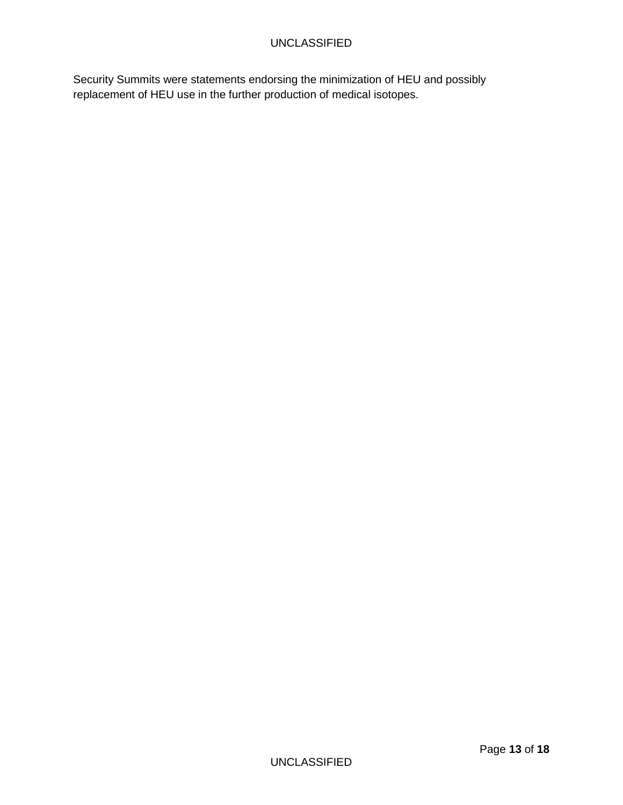Security Summits were statements endorsing the minimization of HEU and possibly replacement of HEU use in the further production of medical isotopes.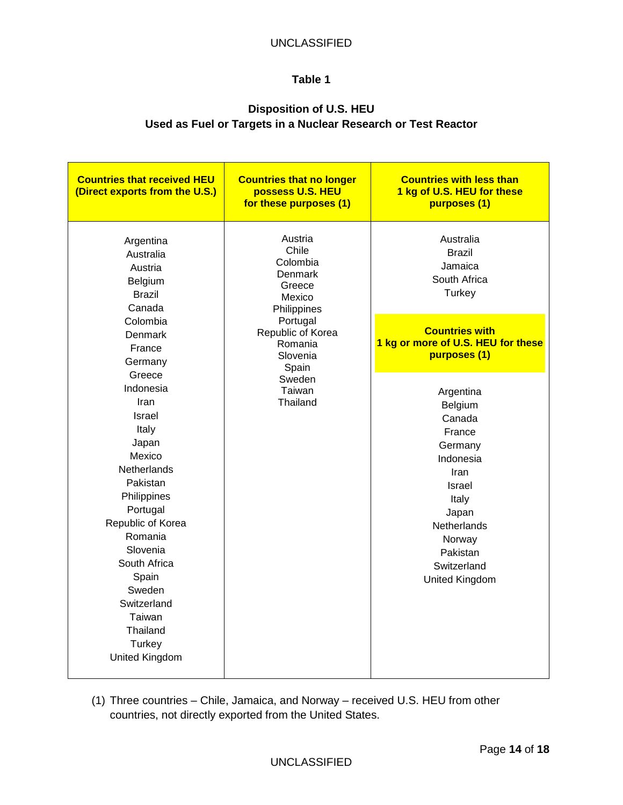# **Disposition of U.S. HEU Used as Fuel or Targets in a Nuclear Research or Test Reactor**

| <b>Countries that received HEU</b><br>(Direct exports from the U.S.)                                                                                                                                                                                                                  | <b>Countries that no longer</b><br>possess U.S. HEU<br>for these purposes (1)                                                                                               | <b>Countries with less than</b><br>1 kg of U.S. HEU for these<br>purposes (1)                                                                                                     |
|---------------------------------------------------------------------------------------------------------------------------------------------------------------------------------------------------------------------------------------------------------------------------------------|-----------------------------------------------------------------------------------------------------------------------------------------------------------------------------|-----------------------------------------------------------------------------------------------------------------------------------------------------------------------------------|
| Argentina<br>Australia<br>Austria<br>Belgium<br><b>Brazil</b><br>Canada                                                                                                                                                                                                               | Austria<br>Chile<br>Colombia<br>Denmark<br>Greece<br>Mexico<br>Philippines<br>Portugal<br>Republic of Korea<br>Romania<br>Slovenia<br>Spain<br>Sweden<br>Taiwan<br>Thailand | Australia<br><b>Brazil</b><br>Jamaica<br>South Africa<br>Turkey                                                                                                                   |
| Colombia<br>Denmark<br>France<br>Germany                                                                                                                                                                                                                                              |                                                                                                                                                                             | <b>Countries with</b><br>1 kg or more of U.S. HEU for these<br>purposes (1)                                                                                                       |
| Greece<br>Indonesia<br>Iran<br>Israel<br>Italy<br>Japan<br>Mexico<br><b>Netherlands</b><br>Pakistan<br>Philippines<br>Portugal<br>Republic of Korea<br>Romania<br>Slovenia<br>South Africa<br>Spain<br>Sweden<br>Switzerland<br>Taiwan<br>Thailand<br>Turkey<br><b>United Kingdom</b> |                                                                                                                                                                             | Argentina<br>Belgium<br>Canada<br>France<br>Germany<br>Indonesia<br>Iran<br><b>Israel</b><br>Italy<br>Japan<br>Netherlands<br>Norway<br>Pakistan<br>Switzerland<br>United Kingdom |

(1) Three countries – Chile, Jamaica, and Norway – received U.S. HEU from other countries, not directly exported from the United States.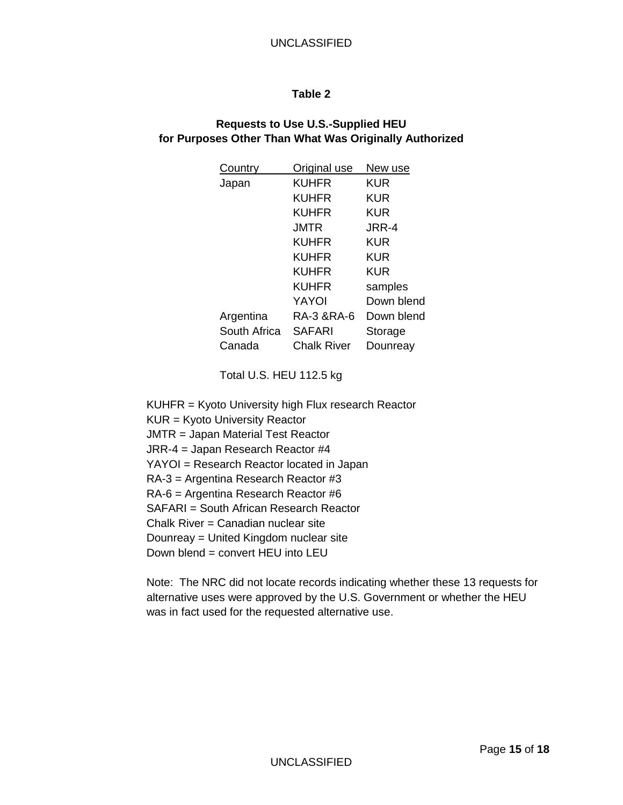## **Requests to Use U.S.-Supplied HEU for Purposes Other Than What Was Originally Authorized**

| Country      | Original use  | New use    |
|--------------|---------------|------------|
| Japan        | KUHFR         | <b>KUR</b> |
|              | KUHFR         | KUR        |
|              | KUHFR         | KUR        |
|              | JMTR          | JRR-4      |
|              | KUHFR         | KUR        |
|              | KUHFR         | KUR        |
|              | KUHFR         | KUR        |
|              | <b>KUHFR</b>  | samples    |
|              | YAYOI         | Down blend |
| Argentina    | RA-3 &RA-6    | Down blend |
| South Africa | <b>SAFARI</b> | Storage    |
| Canada       | Chalk River   | Dounreav   |

Total U.S. HEU 112.5 kg

KUHFR = Kyoto University high Flux research Reactor KUR = Kyoto University Reactor JMTR = Japan Material Test Reactor JRR-4 = Japan Research Reactor #4 YAYOI = Research Reactor located in Japan RA-3 = Argentina Research Reactor #3

RA-6 = Argentina Research Reactor #6

SAFARI = South African Research Reactor

Chalk River = Canadian nuclear site

Dounreay = United Kingdom nuclear site

Down blend = convert HEU into LEU

Note: The NRC did not locate records indicating whether these 13 requests for alternative uses were approved by the U.S. Government or whether the HEU was in fact used for the requested alternative use.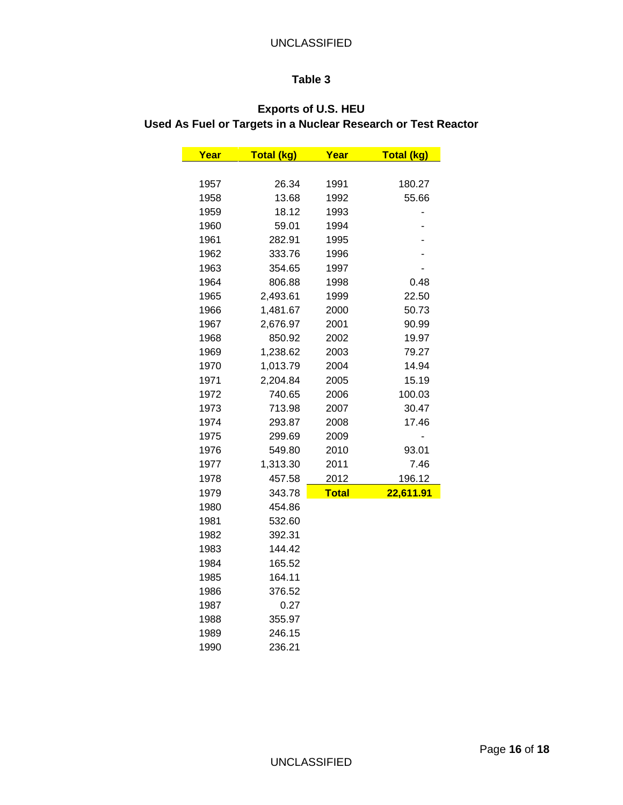# **Exports of U.S. HEU Used As Fuel or Targets in a Nuclear Research or Test Reactor**

| Year | <b>Total (kg)</b> | Year         | Total (kg) |
|------|-------------------|--------------|------------|
|      |                   |              |            |
| 1957 | 26.34             | 1991         | 180.27     |
| 1958 | 13.68             | 1992         | 55.66      |
| 1959 | 18.12             | 1993         |            |
| 1960 | 59.01             | 1994         |            |
| 1961 | 282.91            | 1995         |            |
| 1962 | 333.76            | 1996         |            |
| 1963 | 354.65            | 1997         |            |
| 1964 | 806.88            | 1998         | 0.48       |
| 1965 | 2,493.61          | 1999         | 22.50      |
| 1966 | 1,481.67          | 2000         | 50.73      |
| 1967 | 2,676.97          | 2001         | 90.99      |
| 1968 | 850.92            | 2002         | 19.97      |
| 1969 | 1,238.62          | 2003         | 79.27      |
| 1970 | 1,013.79          | 2004         | 14.94      |
| 1971 | 2,204.84          | 2005         | 15.19      |
| 1972 | 740.65            | 2006         | 100.03     |
| 1973 | 713.98            | 2007         | 30.47      |
| 1974 | 293.87            | 2008         | 17.46      |
| 1975 | 299.69            | 2009         |            |
| 1976 | 549.80            | 2010         | 93.01      |
| 1977 | 1,313.30          | 2011         | 7.46       |
| 1978 | 457.58            | 2012         | 196.12     |
| 1979 | 343.78            | <b>Total</b> | 22,611.91  |
| 1980 | 454.86            |              |            |
| 1981 | 532.60            |              |            |
| 1982 | 392.31            |              |            |
| 1983 | 144.42            |              |            |
| 1984 | 165.52            |              |            |
| 1985 | 164.11            |              |            |
| 1986 | 376.52            |              |            |
| 1987 | 0.27              |              |            |
| 1988 | 355.97            |              |            |
| 1989 | 246.15            |              |            |
| 1990 | 236.21            |              |            |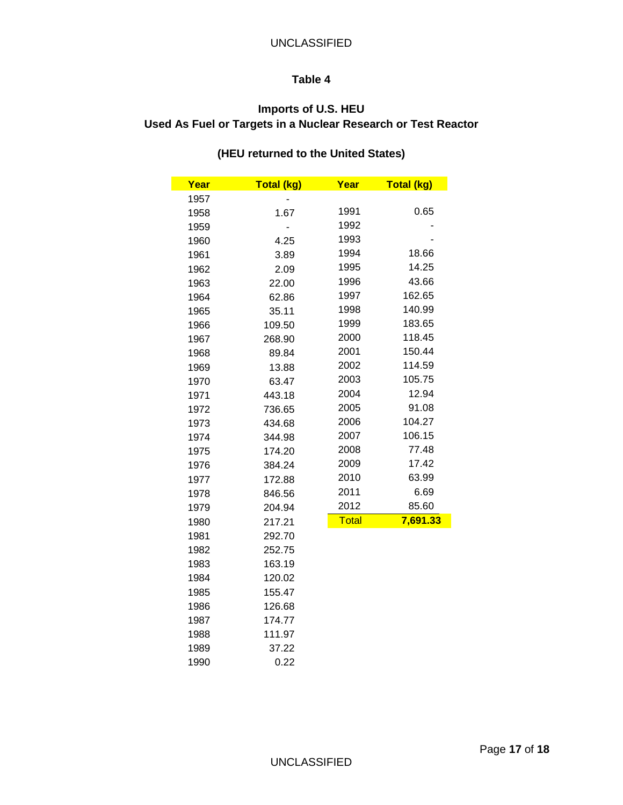# **Imports of U.S. HEU Used As Fuel or Targets in a Nuclear Research or Test Reactor**

# **(HEU returned to the United States)**

| Year | <b>Total (kg)</b> | Year         | <b>Total (kg)</b> |
|------|-------------------|--------------|-------------------|
| 1957 |                   |              |                   |
| 1958 | 1.67              | 1991         | 0.65              |
| 1959 |                   | 1992         |                   |
| 1960 | 4.25              | 1993         |                   |
| 1961 | 3.89              | 1994         | 18.66             |
| 1962 | 2.09              | 1995         | 14.25             |
| 1963 | 22.00             | 1996         | 43.66             |
| 1964 | 62.86             | 1997         | 162.65            |
| 1965 | 35.11             | 1998         | 140.99            |
| 1966 | 109.50            | 1999         | 183.65            |
| 1967 | 268.90            | 2000         | 118.45            |
| 1968 | 89.84             | 2001         | 150.44            |
| 1969 | 13.88             | 2002         | 114.59            |
| 1970 | 63.47             | 2003         | 105.75            |
| 1971 | 443.18            | 2004         | 12.94             |
| 1972 | 736.65            | 2005         | 91.08             |
| 1973 | 434.68            | 2006         | 104.27            |
| 1974 | 344.98            | 2007         | 106.15            |
| 1975 | 174.20            | 2008         | 77.48             |
| 1976 | 384.24            | 2009         | 17.42             |
| 1977 | 172.88            | 2010         | 63.99             |
| 1978 | 846.56            | 2011         | 6.69              |
| 1979 | 204.94            | 2012         | 85.60             |
| 1980 | 217.21            | <b>Total</b> | 7,691.33          |
| 1981 | 292.70            |              |                   |
| 1982 | 252.75            |              |                   |
| 1983 | 163.19            |              |                   |
| 1984 | 120.02            |              |                   |
| 1985 | 155.47            |              |                   |
| 1986 | 126.68            |              |                   |
| 1987 | 174.77            |              |                   |
| 1988 | 111.97            |              |                   |
| 1989 | 37.22             |              |                   |
| 1990 | 0.22              |              |                   |